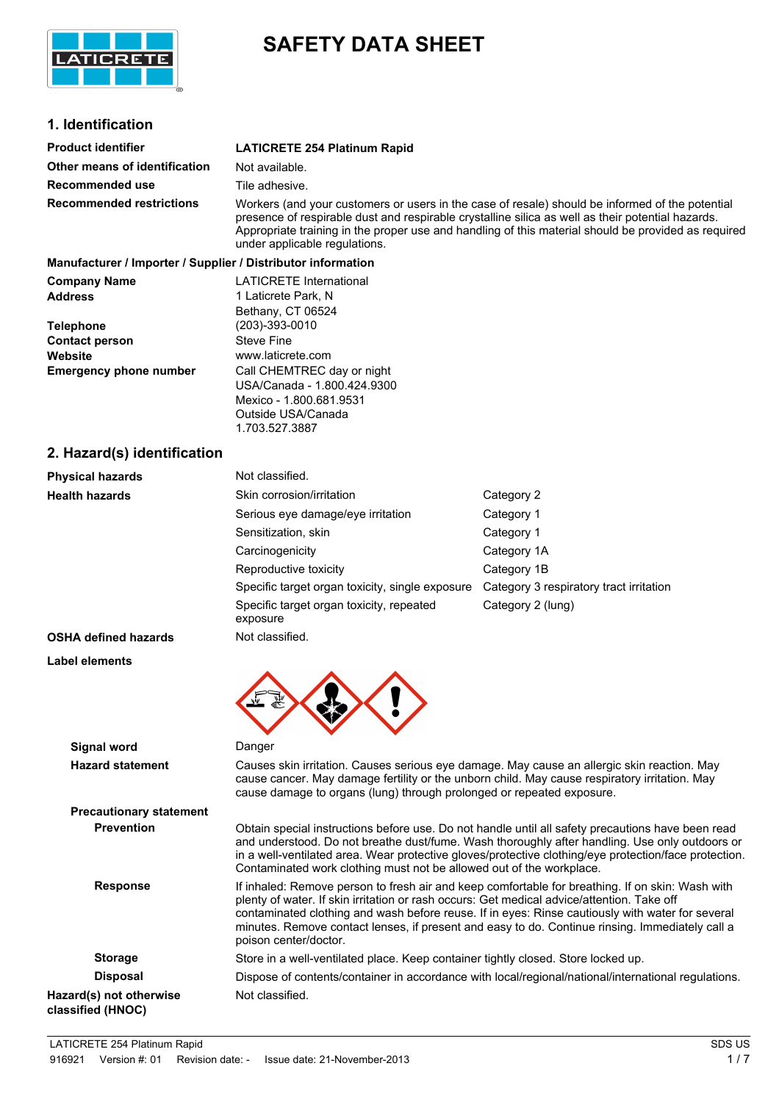

# **SAFETY DATA SHEET**

## **1. Identification**

| <b>Product identifier</b>                                    | <b>LATICRETE 254 Platinum Rapid</b>                                                                                                                                                                                                                                                                                                          |
|--------------------------------------------------------------|----------------------------------------------------------------------------------------------------------------------------------------------------------------------------------------------------------------------------------------------------------------------------------------------------------------------------------------------|
| Other means of identification                                | Not available.                                                                                                                                                                                                                                                                                                                               |
| Recommended use                                              | Tile adhesive.                                                                                                                                                                                                                                                                                                                               |
| <b>Recommended restrictions</b>                              | Workers (and your customers or users in the case of resale) should be informed of the potential<br>presence of respirable dust and respirable crystalline silica as well as their potential hazards.<br>Appropriate training in the proper use and handling of this material should be provided as required<br>under applicable regulations. |
| Manufacturer / Importer / Supplier / Distributor information |                                                                                                                                                                                                                                                                                                                                              |
| <b>Company Name</b>                                          | <b>LATICRETE International</b>                                                                                                                                                                                                                                                                                                               |
| <b>Address</b>                                               | 1 Laticrete Park, N<br>Bethany, CT 06524                                                                                                                                                                                                                                                                                                     |
| <b>Telephone</b>                                             | (203)-393-0010                                                                                                                                                                                                                                                                                                                               |
| <b>Contact person</b>                                        | <b>Steve Fine</b>                                                                                                                                                                                                                                                                                                                            |
|                                                              |                                                                                                                                                                                                                                                                                                                                              |

| <b>I GIGNIIAIR</b>            | $1 - 001$ 000 0010          |
|-------------------------------|-----------------------------|
| <b>Contact person</b>         | <b>Steve Fine</b>           |
| Website                       | www.laticrete.com           |
| <b>Emergency phone number</b> | Call CHEMTREC day or night  |
|                               | USA/Canada - 1.800.424.9300 |
|                               | Mexico - 1.800.681.9531     |
|                               | Outside USA/Canada          |

## **2. Hazard(s) identification**

**Label elements**

| <b>Physical hazards</b>     | Not classified.                                      |                                         |
|-----------------------------|------------------------------------------------------|-----------------------------------------|
| <b>Health hazards</b>       | Skin corrosion/irritation                            | Category 2                              |
|                             | Serious eye damage/eye irritation                    | Category 1                              |
|                             | Sensitization, skin                                  | Category 1                              |
|                             | Carcinogenicity                                      | Category 1A                             |
|                             | Reproductive toxicity                                | Category 1B                             |
|                             | Specific target organ toxicity, single exposure      | Category 3 respiratory tract irritation |
|                             | Specific target organ toxicity, repeated<br>exposure | Category 2 (lung)                       |
| <b>OSHA defined hazards</b> | Not classified.                                      |                                         |

1.703.527.3887

| Signal word                                  | Danger                                                                                                                                                                                                                                                                                                                                                                                                                         |
|----------------------------------------------|--------------------------------------------------------------------------------------------------------------------------------------------------------------------------------------------------------------------------------------------------------------------------------------------------------------------------------------------------------------------------------------------------------------------------------|
| <b>Hazard statement</b>                      | Causes skin irritation. Causes serious eye damage. May cause an allergic skin reaction. May<br>cause cancer. May damage fertility or the unborn child. May cause respiratory irritation. May<br>cause damage to organs (lung) through prolonged or repeated exposure.                                                                                                                                                          |
| <b>Precautionary statement</b>               |                                                                                                                                                                                                                                                                                                                                                                                                                                |
| <b>Prevention</b>                            | Obtain special instructions before use. Do not handle until all safety precautions have been read<br>and understood. Do not breathe dust/fume. Wash thoroughly after handling. Use only outdoors or<br>in a well-ventilated area. Wear protective gloves/protective clothing/eye protection/face protection.<br>Contaminated work clothing must not be allowed out of the workplace.                                           |
| <b>Response</b>                              | If inhaled: Remove person to fresh air and keep comfortable for breathing. If on skin: Wash with<br>plenty of water. If skin irritation or rash occurs: Get medical advice/attention. Take off<br>contaminated clothing and wash before reuse. If in eyes: Rinse cautiously with water for several<br>minutes. Remove contact lenses, if present and easy to do. Continue rinsing. Immediately call a<br>poison center/doctor. |
| <b>Storage</b>                               | Store in a well-ventilated place. Keep container tightly closed. Store locked up.                                                                                                                                                                                                                                                                                                                                              |
| <b>Disposal</b>                              | Dispose of contents/container in accordance with local/regional/national/international regulations.                                                                                                                                                                                                                                                                                                                            |
| Hazard(s) not otherwise<br>classified (HNOC) | Not classified.                                                                                                                                                                                                                                                                                                                                                                                                                |

LATICRETE 254 Platinum Rapid SDS US 916921 Version #: 01 Revision date: - Issue date: 21-November-2013 1699 1699 1699 1699 1699 1699 17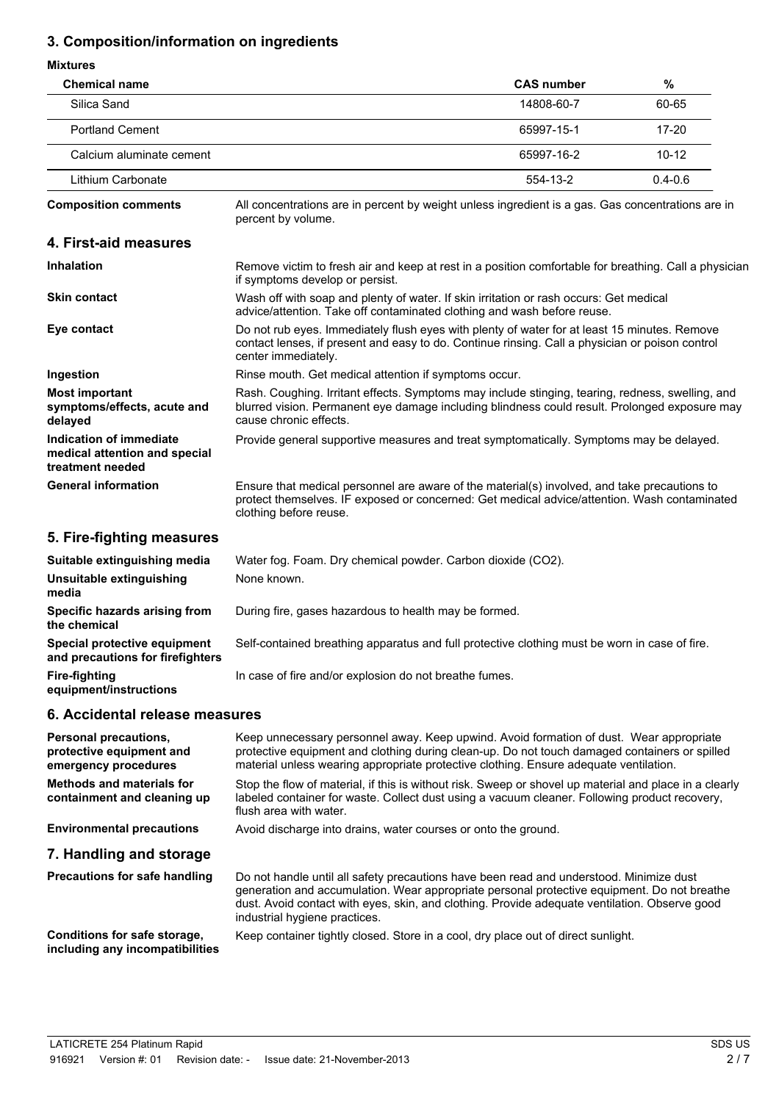## **3. Composition/information on ingredients**

#### **Mixtures**

| <b>Chemical name</b>                                                         |                                                                                                                                                                                                                             | <b>CAS number</b> | $\%$        |
|------------------------------------------------------------------------------|-----------------------------------------------------------------------------------------------------------------------------------------------------------------------------------------------------------------------------|-------------------|-------------|
| Silica Sand                                                                  |                                                                                                                                                                                                                             | 14808-60-7        | 60-65       |
| <b>Portland Cement</b>                                                       |                                                                                                                                                                                                                             | 65997-15-1        | $17 - 20$   |
| Calcium aluminate cement                                                     |                                                                                                                                                                                                                             | 65997-16-2        | $10 - 12$   |
| Lithium Carbonate                                                            |                                                                                                                                                                                                                             | 554-13-2          | $0.4 - 0.6$ |
| <b>Composition comments</b>                                                  | All concentrations are in percent by weight unless ingredient is a gas. Gas concentrations are in<br>percent by volume.                                                                                                     |                   |             |
| 4. First-aid measures                                                        |                                                                                                                                                                                                                             |                   |             |
| <b>Inhalation</b>                                                            | Remove victim to fresh air and keep at rest in a position comfortable for breathing. Call a physician<br>if symptoms develop or persist.                                                                                    |                   |             |
| <b>Skin contact</b>                                                          | Wash off with soap and plenty of water. If skin irritation or rash occurs: Get medical<br>advice/attention. Take off contaminated clothing and wash before reuse.                                                           |                   |             |
| Eye contact                                                                  | Do not rub eyes. Immediately flush eyes with plenty of water for at least 15 minutes. Remove<br>contact lenses, if present and easy to do. Continue rinsing. Call a physician or poison control<br>center immediately.      |                   |             |
| Ingestion                                                                    | Rinse mouth. Get medical attention if symptoms occur.                                                                                                                                                                       |                   |             |
| <b>Most important</b><br>symptoms/effects, acute and<br>delayed              | Rash. Coughing. Irritant effects. Symptoms may include stinging, tearing, redness, swelling, and<br>blurred vision. Permanent eye damage including blindness could result. Prolonged exposure may<br>cause chronic effects. |                   |             |
| Indication of immediate<br>medical attention and special<br>treatment needed | Provide general supportive measures and treat symptomatically. Symptoms may be delayed.                                                                                                                                     |                   |             |
| <b>General information</b>                                                   | Ensure that medical personnel are aware of the material(s) involved, and take precautions to<br>protect themselves. IF exposed or concerned: Get medical advice/attention. Wash contaminated<br>clothing before reuse.      |                   |             |
| 5. Fire-fighting measures                                                    |                                                                                                                                                                                                                             |                   |             |
| Suitable extinguishing media                                                 | Water fog. Foam. Dry chemical powder. Carbon dioxide (CO2).                                                                                                                                                                 |                   |             |
| Unsuitable extinguishing<br>media                                            | None known.                                                                                                                                                                                                                 |                   |             |
| Specific hazards arising from<br>the chemical                                | During fire, gases hazardous to health may be formed.                                                                                                                                                                       |                   |             |
| Special protective equipment<br>and precautions for firefighters             | Self-contained breathing apparatus and full protective clothing must be worn in case of fire.                                                                                                                               |                   |             |
| <b>Fire-fighting</b><br>equipment/instructions                               | In case of fire and/or explosion do not breathe fumes.                                                                                                                                                                      |                   |             |

## **6. Accidental release measures**

| <b>Personal precautions,</b><br>protective equipment and<br>emergency procedures | Keep unnecessary personnel away. Keep upwind. Avoid formation of dust. Wear appropriate<br>protective equipment and clothing during clean-up. Do not touch damaged containers or spilled<br>material unless wearing appropriate protective clothing. Ensure adequate ventilation.                                        |
|----------------------------------------------------------------------------------|--------------------------------------------------------------------------------------------------------------------------------------------------------------------------------------------------------------------------------------------------------------------------------------------------------------------------|
| <b>Methods and materials for</b><br>containment and cleaning up                  | Stop the flow of material, if this is without risk. Sweep or shovel up material and place in a clearly<br>labeled container for waste. Collect dust using a vacuum cleaner. Following product recovery,<br>flush area with water.                                                                                        |
| <b>Environmental precautions</b>                                                 | Avoid discharge into drains, water courses or onto the ground.                                                                                                                                                                                                                                                           |
| 7. Handling and storage                                                          |                                                                                                                                                                                                                                                                                                                          |
| <b>Precautions for safe handling</b>                                             | Do not handle until all safety precautions have been read and understood. Minimize dust<br>generation and accumulation. Wear appropriate personal protective equipment. Do not breathe<br>dust. Avoid contact with eyes, skin, and clothing. Provide adequate ventilation. Observe good<br>industrial hygiene practices. |
| Conditions for safe storage,<br>including any incompatibilities                  | Keep container tightly closed. Store in a cool, dry place out of direct sunlight.                                                                                                                                                                                                                                        |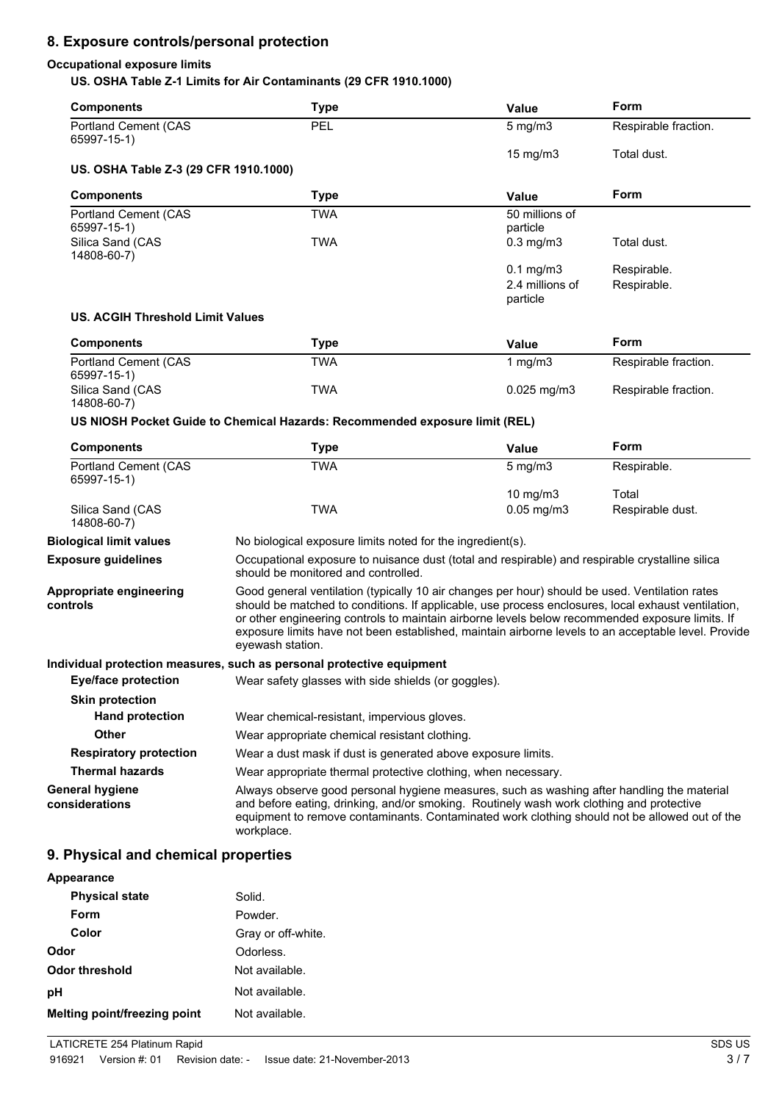## **8. Exposure controls/personal protection**

#### **Occupational exposure limits**

#### **US. OSHA Table Z-1 Limits for Air Contaminants (29 CFR 1910.1000)**

| <b>Components</b>                          | <b>Type</b>                                                                                                                                                                                                                                                                                                                                                                                                                        | Value                       | Form                 |
|--------------------------------------------|------------------------------------------------------------------------------------------------------------------------------------------------------------------------------------------------------------------------------------------------------------------------------------------------------------------------------------------------------------------------------------------------------------------------------------|-----------------------------|----------------------|
| <b>Portland Cement (CAS</b><br>65997-15-1) | PEL                                                                                                                                                                                                                                                                                                                                                                                                                                | $5 \text{ mg/m}$            | Respirable fraction. |
|                                            |                                                                                                                                                                                                                                                                                                                                                                                                                                    | 15 mg/m3                    | Total dust.          |
| US. OSHA Table Z-3 (29 CFR 1910.1000)      |                                                                                                                                                                                                                                                                                                                                                                                                                                    |                             |                      |
| <b>Components</b>                          | <b>Type</b>                                                                                                                                                                                                                                                                                                                                                                                                                        | <b>Value</b>                | Form                 |
| <b>Portland Cement (CAS</b>                | <b>TWA</b>                                                                                                                                                                                                                                                                                                                                                                                                                         | 50 millions of              |                      |
| 65997-15-1)<br>Silica Sand (CAS            | <b>TWA</b>                                                                                                                                                                                                                                                                                                                                                                                                                         | particle<br>$0.3$ mg/m $3$  | Total dust.          |
| 14808-60-7)                                |                                                                                                                                                                                                                                                                                                                                                                                                                                    |                             |                      |
|                                            |                                                                                                                                                                                                                                                                                                                                                                                                                                    | $0.1$ mg/m $3$              | Respirable.          |
|                                            |                                                                                                                                                                                                                                                                                                                                                                                                                                    | 2.4 millions of<br>particle | Respirable.          |
| <b>US. ACGIH Threshold Limit Values</b>    |                                                                                                                                                                                                                                                                                                                                                                                                                                    |                             |                      |
| <b>Components</b>                          | <b>Type</b>                                                                                                                                                                                                                                                                                                                                                                                                                        | <b>Value</b>                | Form                 |
| <b>Portland Cement (CAS</b>                | <b>TWA</b>                                                                                                                                                                                                                                                                                                                                                                                                                         | 1 mg/m $3$                  | Respirable fraction. |
| 65997-15-1)<br>Silica Sand (CAS            | <b>TWA</b>                                                                                                                                                                                                                                                                                                                                                                                                                         | $0.025$ mg/m3               | Respirable fraction. |
| 14808-60-7)                                |                                                                                                                                                                                                                                                                                                                                                                                                                                    |                             |                      |
|                                            | US NIOSH Pocket Guide to Chemical Hazards: Recommended exposure limit (REL)                                                                                                                                                                                                                                                                                                                                                        |                             |                      |
| <b>Components</b>                          | <b>Type</b>                                                                                                                                                                                                                                                                                                                                                                                                                        | Value                       | Form                 |
|                                            |                                                                                                                                                                                                                                                                                                                                                                                                                                    |                             |                      |
| <b>Portland Cement (CAS</b><br>65997-15-1) | <b>TWA</b>                                                                                                                                                                                                                                                                                                                                                                                                                         | $5$ mg/m $3$                | Respirable.          |
|                                            |                                                                                                                                                                                                                                                                                                                                                                                                                                    | 10 $mg/m3$                  | Total                |
| Silica Sand (CAS<br>14808-60-7)            | <b>TWA</b>                                                                                                                                                                                                                                                                                                                                                                                                                         | $0.05$ mg/m $3$             | Respirable dust.     |
| <b>Biological limit values</b>             | No biological exposure limits noted for the ingredient(s).                                                                                                                                                                                                                                                                                                                                                                         |                             |                      |
| <b>Exposure guidelines</b>                 | Occupational exposure to nuisance dust (total and respirable) and respirable crystalline silica<br>should be monitored and controlled.                                                                                                                                                                                                                                                                                             |                             |                      |
| Appropriate engineering<br>controls        | Good general ventilation (typically 10 air changes per hour) should be used. Ventilation rates<br>should be matched to conditions. If applicable, use process enclosures, local exhaust ventilation,<br>or other engineering controls to maintain airborne levels below recommended exposure limits. If<br>exposure limits have not been established, maintain airborne levels to an acceptable level. Provide<br>eyewash station. |                             |                      |
|                                            | Individual protection measures, such as personal protective equipment                                                                                                                                                                                                                                                                                                                                                              |                             |                      |
|                                            | Eye/face protection Wear safety glasses with side shields (or goggles).                                                                                                                                                                                                                                                                                                                                                            |                             |                      |
| <b>Skin protection</b>                     |                                                                                                                                                                                                                                                                                                                                                                                                                                    |                             |                      |
| <b>Hand protection</b>                     | Wear chemical-resistant, impervious gloves.                                                                                                                                                                                                                                                                                                                                                                                        |                             |                      |
| Other                                      | Wear appropriate chemical resistant clothing.                                                                                                                                                                                                                                                                                                                                                                                      |                             |                      |
| <b>Respiratory protection</b>              | Wear a dust mask if dust is generated above exposure limits.                                                                                                                                                                                                                                                                                                                                                                       |                             |                      |
| <b>Thermal hazards</b>                     | Wear appropriate thermal protective clothing, when necessary.                                                                                                                                                                                                                                                                                                                                                                      |                             |                      |

### **9. Physical and chemical properties**

| Appearance                   |                    |
|------------------------------|--------------------|
| <b>Physical state</b>        | Solid.             |
| <b>Form</b>                  | Powder.            |
| Color                        | Gray or off-white. |
| <b>Odor</b>                  | Odorless.          |
| Odor threshold               | Not available.     |
| рH                           | Not available.     |
| Melting point/freezing point | Not available.     |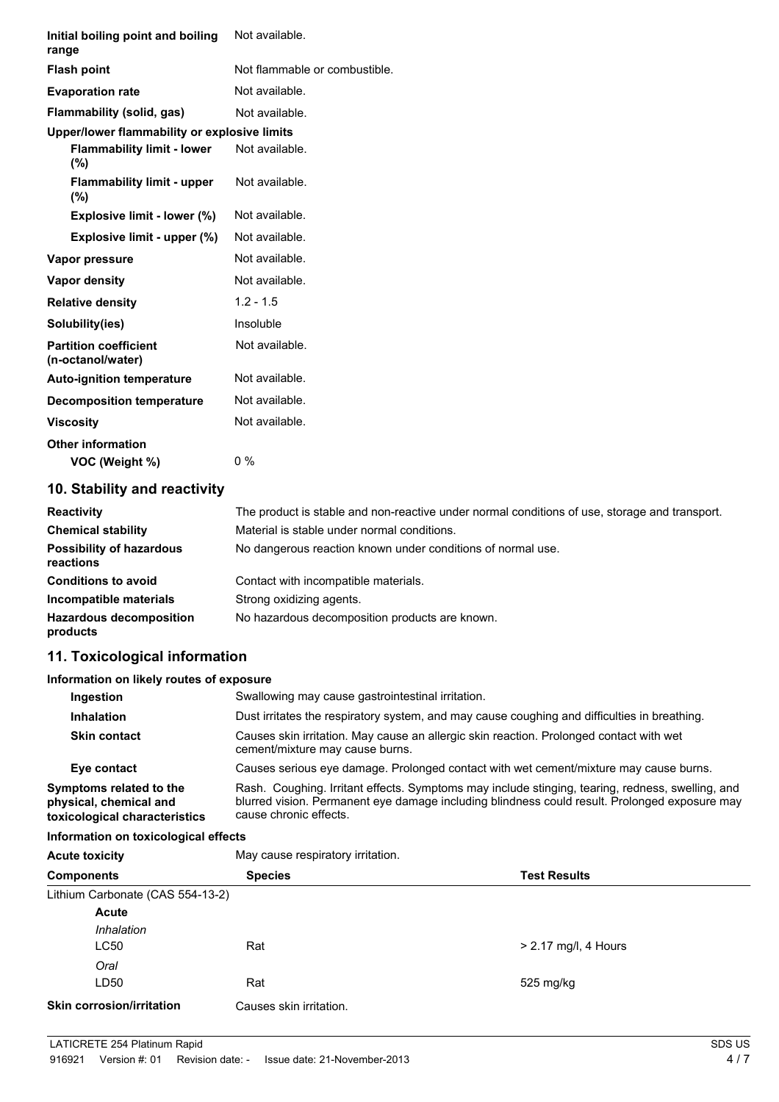| Initial boiling point and boiling<br>range        | Not available.                |  |
|---------------------------------------------------|-------------------------------|--|
| <b>Flash point</b>                                | Not flammable or combustible. |  |
| <b>Evaporation rate</b>                           | Not available.                |  |
| Flammability (solid, gas)                         | Not available.                |  |
| Upper/lower flammability or explosive limits      |                               |  |
| <b>Flammability limit - lower</b><br>$(\%)$       | Not available.                |  |
| <b>Flammability limit - upper</b><br>$(\% )$      | Not available.                |  |
| Explosive limit - lower (%)                       | Not available.                |  |
| Explosive limit - upper (%)                       | Not available.                |  |
| Vapor pressure                                    | Not available.                |  |
| Vapor density                                     | Not available.                |  |
| <b>Relative density</b>                           | $1.2 - 1.5$                   |  |
| Solubility(ies)                                   | Insoluble                     |  |
| <b>Partition coefficient</b><br>(n-octanol/water) | Not available.                |  |
| <b>Auto-ignition temperature</b>                  | Not available.                |  |
| <b>Decomposition temperature</b>                  | Not available.                |  |
| <b>Viscosity</b>                                  | Not available.                |  |
| <b>Other information</b>                          |                               |  |
| VOC (Weight %)                                    | $0\%$                         |  |

## **10. Stability and reactivity**

| <b>Reactivity</b>                            | The product is stable and non-reactive under normal conditions of use, storage and transport. |
|----------------------------------------------|-----------------------------------------------------------------------------------------------|
| <b>Chemical stability</b>                    | Material is stable under normal conditions.                                                   |
| <b>Possibility of hazardous</b><br>reactions | No dangerous reaction known under conditions of normal use.                                   |
| <b>Conditions to avoid</b>                   | Contact with incompatible materials.                                                          |
| Incompatible materials                       | Strong oxidizing agents.                                                                      |
| <b>Hazardous decomposition</b><br>products   | No hazardous decomposition products are known.                                                |

## **11. Toxicological information**

#### **Information on likely routes of exposure**

| Ingestion                                                                          | Swallowing may cause gastrointestinal irritation.                                                                                                                                                                           |
|------------------------------------------------------------------------------------|-----------------------------------------------------------------------------------------------------------------------------------------------------------------------------------------------------------------------------|
| <b>Inhalation</b>                                                                  | Dust irritates the respiratory system, and may cause coughing and difficulties in breathing.                                                                                                                                |
| <b>Skin contact</b>                                                                | Causes skin irritation. May cause an allergic skin reaction. Prolonged contact with wet<br>cement/mixture may cause burns.                                                                                                  |
| Eye contact                                                                        | Causes serious eye damage. Prolonged contact with wet cement/mixture may cause burns.                                                                                                                                       |
| Symptoms related to the<br>physical, chemical and<br>toxicological characteristics | Rash. Coughing. Irritant effects. Symptoms may include stinging, tearing, redness, swelling, and<br>blurred vision. Permanent eye damage including blindness could result. Prolonged exposure may<br>cause chronic effects. |

### **Information on toxicological effects**

| <b>Acute toxicity</b>            | May cause respiratory irritation. | <b>Test Results</b>    |  |
|----------------------------------|-----------------------------------|------------------------|--|
| <b>Components</b>                | <b>Species</b>                    |                        |  |
| Lithium Carbonate (CAS 554-13-2) |                                   |                        |  |
| Acute                            |                                   |                        |  |
| Inhalation                       |                                   |                        |  |
| <b>LC50</b>                      | Rat                               | $> 2.17$ mg/l, 4 Hours |  |
| Oral                             |                                   |                        |  |
| LD50                             | Rat                               | 525 mg/kg              |  |
| <b>Skin corrosion/irritation</b> | Causes skin irritation.           |                        |  |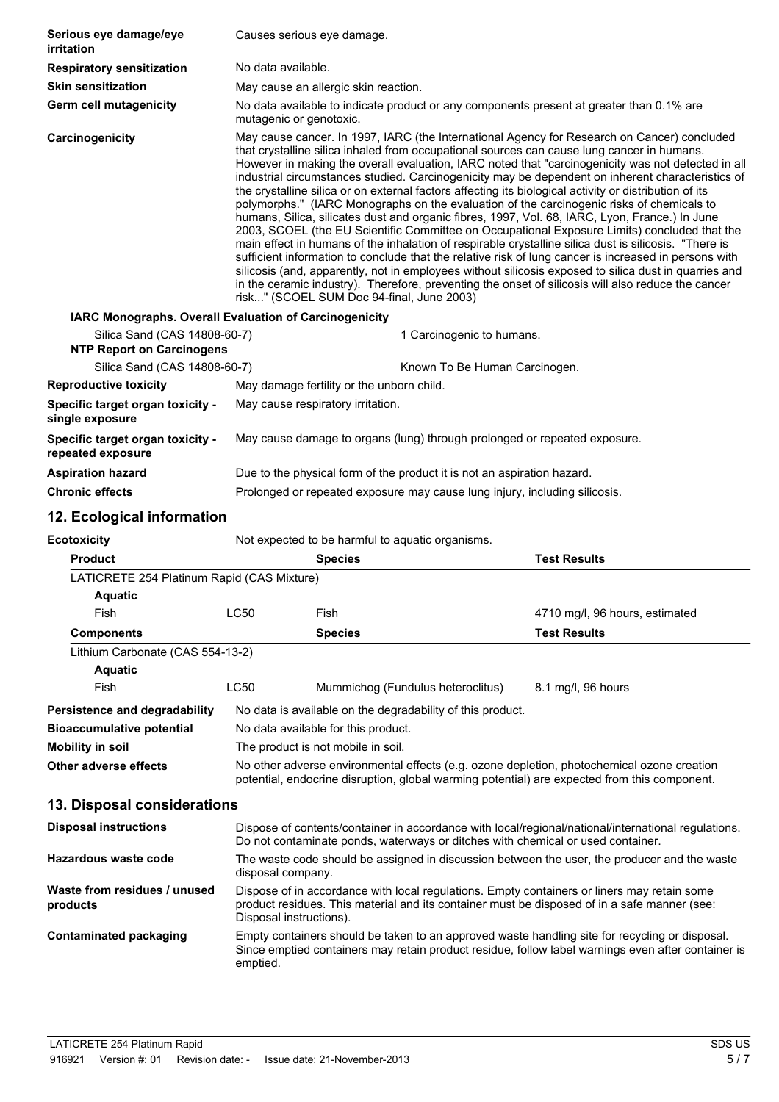| Serious eye damage/eye<br>irritation                   | Causes serious eye damage.                                                                                                                                                                                                                                                                                                                                                                                                                                                                                                                                                                                                                                                                                                                                                                                                                                                                                                                                                                                                                                                                                                                                                                                                                                                                  |                                                                            |                                |
|--------------------------------------------------------|---------------------------------------------------------------------------------------------------------------------------------------------------------------------------------------------------------------------------------------------------------------------------------------------------------------------------------------------------------------------------------------------------------------------------------------------------------------------------------------------------------------------------------------------------------------------------------------------------------------------------------------------------------------------------------------------------------------------------------------------------------------------------------------------------------------------------------------------------------------------------------------------------------------------------------------------------------------------------------------------------------------------------------------------------------------------------------------------------------------------------------------------------------------------------------------------------------------------------------------------------------------------------------------------|----------------------------------------------------------------------------|--------------------------------|
| <b>Respiratory sensitization</b>                       | No data available.                                                                                                                                                                                                                                                                                                                                                                                                                                                                                                                                                                                                                                                                                                                                                                                                                                                                                                                                                                                                                                                                                                                                                                                                                                                                          |                                                                            |                                |
| <b>Skin sensitization</b>                              | May cause an allergic skin reaction.                                                                                                                                                                                                                                                                                                                                                                                                                                                                                                                                                                                                                                                                                                                                                                                                                                                                                                                                                                                                                                                                                                                                                                                                                                                        |                                                                            |                                |
| Germ cell mutagenicity                                 | No data available to indicate product or any components present at greater than 0.1% are<br>mutagenic or genotoxic.                                                                                                                                                                                                                                                                                                                                                                                                                                                                                                                                                                                                                                                                                                                                                                                                                                                                                                                                                                                                                                                                                                                                                                         |                                                                            |                                |
| Carcinogenicity                                        | May cause cancer. In 1997, IARC (the International Agency for Research on Cancer) concluded<br>that crystalline silica inhaled from occupational sources can cause lung cancer in humans.<br>However in making the overall evaluation, IARC noted that "carcinogenicity was not detected in all<br>industrial circumstances studied. Carcinogenicity may be dependent on inherent characteristics of<br>the crystalline silica or on external factors affecting its biological activity or distribution of its<br>polymorphs." (IARC Monographs on the evaluation of the carcinogenic risks of chemicals to<br>humans, Silica, silicates dust and organic fibres, 1997, Vol. 68, IARC, Lyon, France.) In June<br>2003, SCOEL (the EU Scientific Committee on Occupational Exposure Limits) concluded that the<br>main effect in humans of the inhalation of respirable crystalline silica dust is silicosis. "There is<br>sufficient information to conclude that the relative risk of lung cancer is increased in persons with<br>silicosis (and, apparently, not in employees without silicosis exposed to silica dust in quarries and<br>in the ceramic industry). Therefore, preventing the onset of silicosis will also reduce the cancer<br>risk" (SCOEL SUM Doc 94-final, June 2003) |                                                                            |                                |
| IARC Monographs. Overall Evaluation of Carcinogenicity |                                                                                                                                                                                                                                                                                                                                                                                                                                                                                                                                                                                                                                                                                                                                                                                                                                                                                                                                                                                                                                                                                                                                                                                                                                                                                             |                                                                            |                                |
| Silica Sand (CAS 14808-60-7)                           | 1 Carcinogenic to humans.                                                                                                                                                                                                                                                                                                                                                                                                                                                                                                                                                                                                                                                                                                                                                                                                                                                                                                                                                                                                                                                                                                                                                                                                                                                                   |                                                                            |                                |
| <b>NTP Report on Carcinogens</b>                       |                                                                                                                                                                                                                                                                                                                                                                                                                                                                                                                                                                                                                                                                                                                                                                                                                                                                                                                                                                                                                                                                                                                                                                                                                                                                                             |                                                                            |                                |
| Silica Sand (CAS 14808-60-7)                           |                                                                                                                                                                                                                                                                                                                                                                                                                                                                                                                                                                                                                                                                                                                                                                                                                                                                                                                                                                                                                                                                                                                                                                                                                                                                                             | Known To Be Human Carcinogen.                                              |                                |
| <b>Reproductive toxicity</b>                           |                                                                                                                                                                                                                                                                                                                                                                                                                                                                                                                                                                                                                                                                                                                                                                                                                                                                                                                                                                                                                                                                                                                                                                                                                                                                                             | May damage fertility or the unborn child.                                  |                                |
| Specific target organ toxicity -<br>single exposure    | May cause respiratory irritation.                                                                                                                                                                                                                                                                                                                                                                                                                                                                                                                                                                                                                                                                                                                                                                                                                                                                                                                                                                                                                                                                                                                                                                                                                                                           |                                                                            |                                |
| Specific target organ toxicity -<br>repeated exposure  | May cause damage to organs (lung) through prolonged or repeated exposure.                                                                                                                                                                                                                                                                                                                                                                                                                                                                                                                                                                                                                                                                                                                                                                                                                                                                                                                                                                                                                                                                                                                                                                                                                   |                                                                            |                                |
| <b>Aspiration hazard</b>                               |                                                                                                                                                                                                                                                                                                                                                                                                                                                                                                                                                                                                                                                                                                                                                                                                                                                                                                                                                                                                                                                                                                                                                                                                                                                                                             | Due to the physical form of the product it is not an aspiration hazard.    |                                |
| <b>Chronic effects</b>                                 |                                                                                                                                                                                                                                                                                                                                                                                                                                                                                                                                                                                                                                                                                                                                                                                                                                                                                                                                                                                                                                                                                                                                                                                                                                                                                             | Prolonged or repeated exposure may cause lung injury, including silicosis. |                                |
| 12. Ecological information                             |                                                                                                                                                                                                                                                                                                                                                                                                                                                                                                                                                                                                                                                                                                                                                                                                                                                                                                                                                                                                                                                                                                                                                                                                                                                                                             |                                                                            |                                |
| <b>Ecotoxicity</b>                                     |                                                                                                                                                                                                                                                                                                                                                                                                                                                                                                                                                                                                                                                                                                                                                                                                                                                                                                                                                                                                                                                                                                                                                                                                                                                                                             | Not expected to be harmful to aquatic organisms.                           |                                |
| <b>Product</b>                                         |                                                                                                                                                                                                                                                                                                                                                                                                                                                                                                                                                                                                                                                                                                                                                                                                                                                                                                                                                                                                                                                                                                                                                                                                                                                                                             | <b>Species</b>                                                             | <b>Test Results</b>            |
| LATICRETE 254 Platinum Rapid (CAS Mixture)             |                                                                                                                                                                                                                                                                                                                                                                                                                                                                                                                                                                                                                                                                                                                                                                                                                                                                                                                                                                                                                                                                                                                                                                                                                                                                                             |                                                                            |                                |
| <b>Aquatic</b>                                         |                                                                                                                                                                                                                                                                                                                                                                                                                                                                                                                                                                                                                                                                                                                                                                                                                                                                                                                                                                                                                                                                                                                                                                                                                                                                                             |                                                                            |                                |
| Fish                                                   | LC50                                                                                                                                                                                                                                                                                                                                                                                                                                                                                                                                                                                                                                                                                                                                                                                                                                                                                                                                                                                                                                                                                                                                                                                                                                                                                        | Fish                                                                       | 4710 mg/l, 96 hours, estimated |
| <b>Components</b>                                      |                                                                                                                                                                                                                                                                                                                                                                                                                                                                                                                                                                                                                                                                                                                                                                                                                                                                                                                                                                                                                                                                                                                                                                                                                                                                                             | <b>Species</b>                                                             | <b>Test Results</b>            |
| Lithium Carbonate (CAS 554-13-2)                       |                                                                                                                                                                                                                                                                                                                                                                                                                                                                                                                                                                                                                                                                                                                                                                                                                                                                                                                                                                                                                                                                                                                                                                                                                                                                                             |                                                                            |                                |
| <b>Aquatic</b>                                         |                                                                                                                                                                                                                                                                                                                                                                                                                                                                                                                                                                                                                                                                                                                                                                                                                                                                                                                                                                                                                                                                                                                                                                                                                                                                                             |                                                                            |                                |
| Fish                                                   | LC50                                                                                                                                                                                                                                                                                                                                                                                                                                                                                                                                                                                                                                                                                                                                                                                                                                                                                                                                                                                                                                                                                                                                                                                                                                                                                        | Mummichog (Fundulus heteroclitus)                                          | 8.1 mg/l, 96 hours             |
| Persistence and degradability                          |                                                                                                                                                                                                                                                                                                                                                                                                                                                                                                                                                                                                                                                                                                                                                                                                                                                                                                                                                                                                                                                                                                                                                                                                                                                                                             | No data is available on the degradability of this product.                 |                                |
| <b>Bioaccumulative potential</b>                       | No data available for this product.                                                                                                                                                                                                                                                                                                                                                                                                                                                                                                                                                                                                                                                                                                                                                                                                                                                                                                                                                                                                                                                                                                                                                                                                                                                         |                                                                            |                                |
| <b>Mobility in soil</b>                                | The product is not mobile in soil.                                                                                                                                                                                                                                                                                                                                                                                                                                                                                                                                                                                                                                                                                                                                                                                                                                                                                                                                                                                                                                                                                                                                                                                                                                                          |                                                                            |                                |
| Other adverse effects                                  | No other adverse environmental effects (e.g. ozone depletion, photochemical ozone creation                                                                                                                                                                                                                                                                                                                                                                                                                                                                                                                                                                                                                                                                                                                                                                                                                                                                                                                                                                                                                                                                                                                                                                                                  |                                                                            |                                |

## **13. Disposal considerations**

| <b>Disposal instructions</b>             | Dispose of contents/container in accordance with local/regional/national/international regulations.<br>Do not contaminate ponds, waterways or ditches with chemical or used container.                                 |
|------------------------------------------|------------------------------------------------------------------------------------------------------------------------------------------------------------------------------------------------------------------------|
| Hazardous waste code                     | The waste code should be assigned in discussion between the user, the producer and the waste<br>disposal company.                                                                                                      |
| Waste from residues / unused<br>products | Dispose of in accordance with local regulations. Empty containers or liners may retain some<br>product residues. This material and its container must be disposed of in a safe manner (see:<br>Disposal instructions). |
| Contaminated packaging                   | Empty containers should be taken to an approved waste handling site for recycling or disposal.<br>Since emptied containers may retain product residue, follow label warnings even after container is<br>emptied.       |

potential, endocrine disruption, global warming potential) are expected from this component.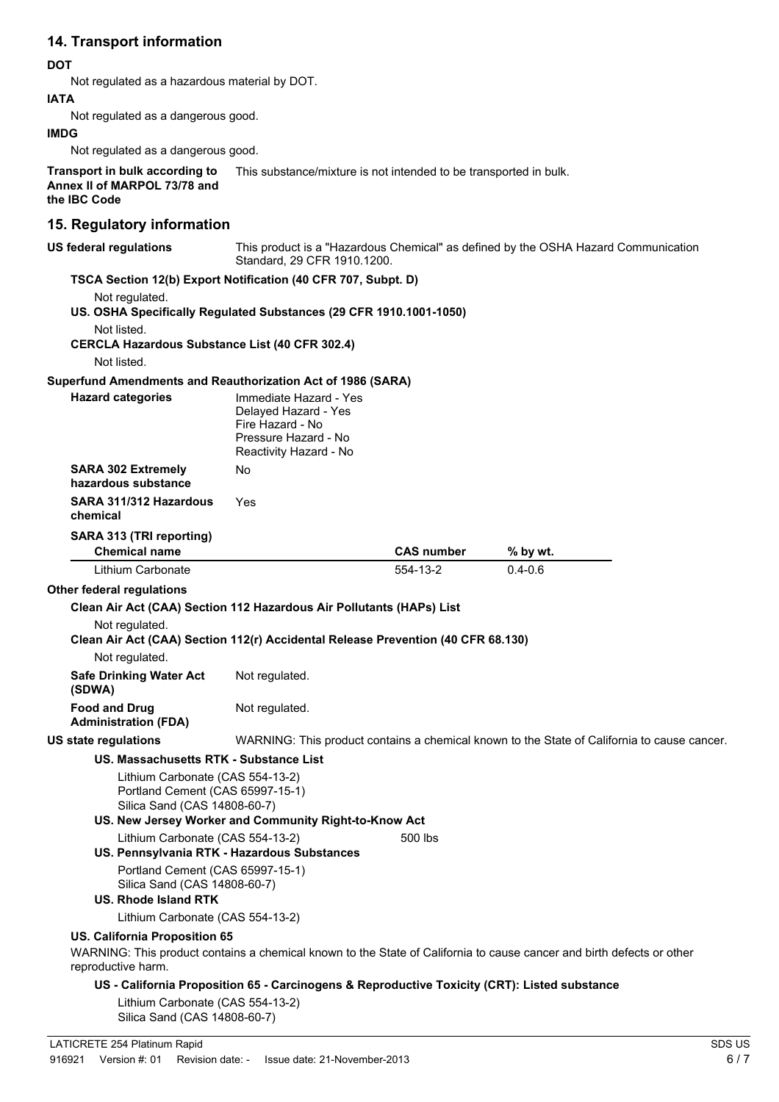## **14. Transport information**

#### **DOT**

Not regulated as a hazardous material by DOT.

#### **IATA**

Not regulated as a dangerous good.

#### **IMDG**

Not regulated as a dangerous good.

**Transport in bulk according to Annex II of MARPOL 73/78 and** This substance/mixture is not intended to be transported in bulk.

**the IBC Code**

## **15. Regulatory information**

| <b>US federal regulations</b>                                                                        | This product is a "Hazardous Chemical" as defined by the OSHA Hazard Communication<br>Standard, 29 CFR 1910.1200. |                   |                                                                                                                       |
|------------------------------------------------------------------------------------------------------|-------------------------------------------------------------------------------------------------------------------|-------------------|-----------------------------------------------------------------------------------------------------------------------|
| TSCA Section 12(b) Export Notification (40 CFR 707, Subpt. D)                                        |                                                                                                                   |                   |                                                                                                                       |
| Not regulated.                                                                                       |                                                                                                                   |                   |                                                                                                                       |
| US. OSHA Specifically Regulated Substances (29 CFR 1910.1001-1050)                                   |                                                                                                                   |                   |                                                                                                                       |
| Not listed.                                                                                          |                                                                                                                   |                   |                                                                                                                       |
| <b>CERCLA Hazardous Substance List (40 CFR 302.4)</b><br>Not listed.                                 |                                                                                                                   |                   |                                                                                                                       |
|                                                                                                      |                                                                                                                   |                   |                                                                                                                       |
| Superfund Amendments and Reauthorization Act of 1986 (SARA)<br><b>Hazard categories</b>              | Immediate Hazard - Yes                                                                                            |                   |                                                                                                                       |
|                                                                                                      | Delayed Hazard - Yes<br>Fire Hazard - No<br>Pressure Hazard - No<br>Reactivity Hazard - No                        |                   |                                                                                                                       |
| <b>SARA 302 Extremely</b><br>hazardous substance                                                     | No.                                                                                                               |                   |                                                                                                                       |
| SARA 311/312 Hazardous<br>chemical                                                                   | Yes                                                                                                               |                   |                                                                                                                       |
| SARA 313 (TRI reporting)                                                                             |                                                                                                                   |                   |                                                                                                                       |
| <b>Chemical name</b>                                                                                 |                                                                                                                   | <b>CAS number</b> | % by wt.                                                                                                              |
| Lithium Carbonate                                                                                    |                                                                                                                   | 554-13-2          | $0.4 - 0.6$                                                                                                           |
| <b>Other federal regulations</b>                                                                     |                                                                                                                   |                   |                                                                                                                       |
| Clean Air Act (CAA) Section 112 Hazardous Air Pollutants (HAPs) List                                 |                                                                                                                   |                   |                                                                                                                       |
| Not regulated.<br>Clean Air Act (CAA) Section 112(r) Accidental Release Prevention (40 CFR 68.130)   |                                                                                                                   |                   |                                                                                                                       |
| Not regulated.                                                                                       |                                                                                                                   |                   |                                                                                                                       |
| <b>Safe Drinking Water Act</b><br>(SDWA)                                                             | Not regulated.                                                                                                    |                   |                                                                                                                       |
| <b>Food and Drug</b><br><b>Administration (FDA)</b>                                                  | Not regulated.                                                                                                    |                   |                                                                                                                       |
| US state regulations                                                                                 |                                                                                                                   |                   | WARNING: This product contains a chemical known to the State of California to cause cancer.                           |
| <b>US. Massachusetts RTK - Substance List</b>                                                        |                                                                                                                   |                   |                                                                                                                       |
| Lithium Carbonate (CAS 554-13-2)<br>Portland Cement (CAS 65997-15-1)<br>Silica Sand (CAS 14808-60-7) | US. New Jersey Worker and Community Right-to-Know Act                                                             |                   |                                                                                                                       |
| Lithium Carbonate (CAS 554-13-2)                                                                     |                                                                                                                   | 500 lbs           |                                                                                                                       |
| US. Pennsylvania RTK - Hazardous Substances                                                          |                                                                                                                   |                   |                                                                                                                       |
| Portland Cement (CAS 65997-15-1)<br>Silica Sand (CAS 14808-60-7)                                     |                                                                                                                   |                   |                                                                                                                       |
| <b>US. Rhode Island RTK</b>                                                                          |                                                                                                                   |                   |                                                                                                                       |
| Lithium Carbonate (CAS 554-13-2)                                                                     |                                                                                                                   |                   |                                                                                                                       |
| US. California Proposition 65                                                                        |                                                                                                                   |                   |                                                                                                                       |
| reproductive harm.                                                                                   |                                                                                                                   |                   | WARNING: This product contains a chemical known to the State of California to cause cancer and birth defects or other |
| Lithium Carbonate (CAS 554-13-2)                                                                     | US - California Proposition 65 - Carcinogens & Reproductive Toxicity (CRT): Listed substance                      |                   |                                                                                                                       |

Silica Sand (CAS 14808-60-7)